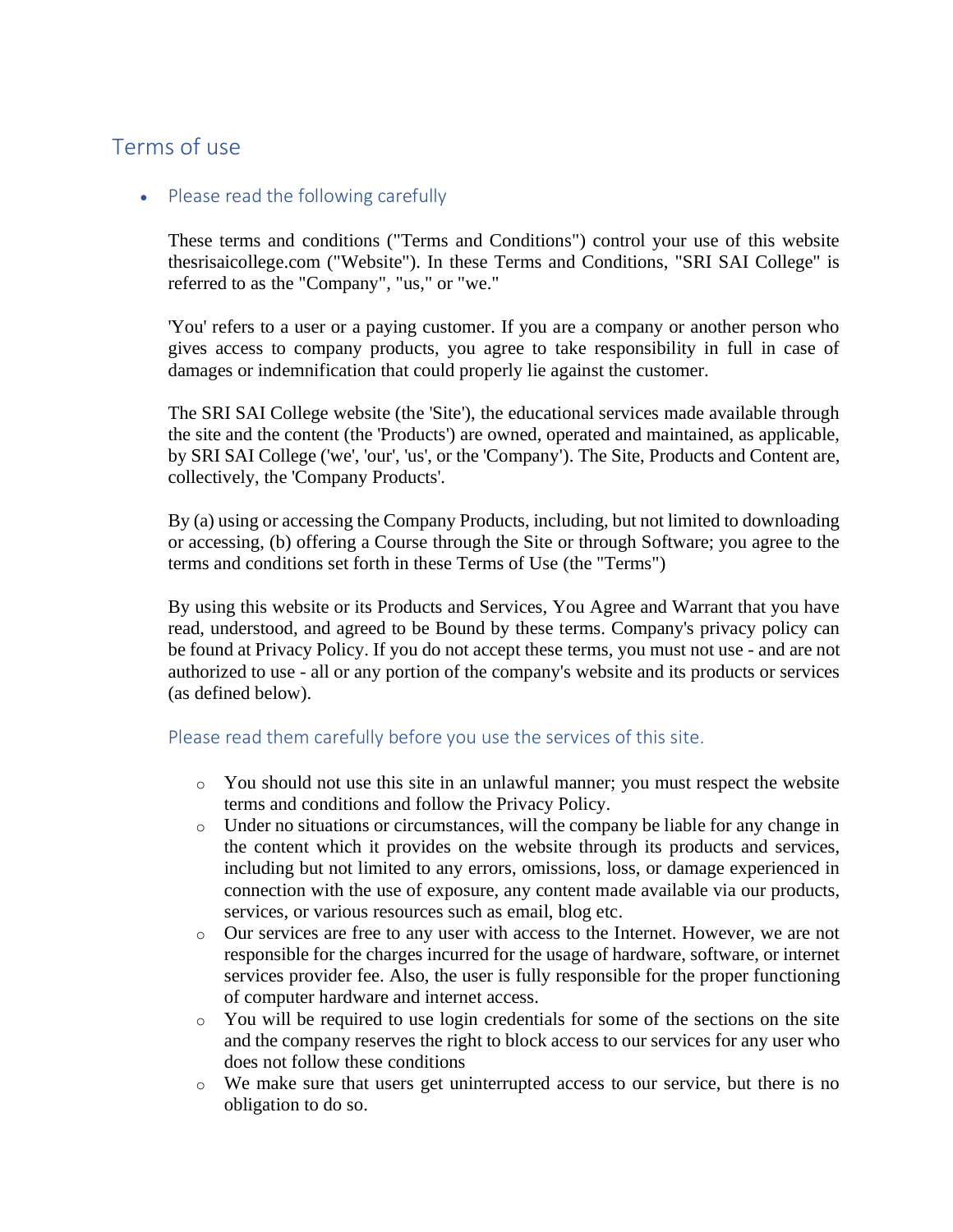# Terms of use

# • Please read the following carefully

These terms and conditions ("Terms and Conditions") control your use of this website thesrisaicollege.com ("Website"). In these Terms and Conditions, "SRI SAI College" is referred to as the "Company", "us," or "we."

'You' refers to a user or a paying customer. If you are a company or another person who gives access to company products, you agree to take responsibility in full in case of damages or indemnification that could properly lie against the customer.

The SRI SAI College website (the 'Site'), the educational services made available through the site and the content (the 'Products') are owned, operated and maintained, as applicable, by SRI SAI College ('we', 'our', 'us', or the 'Company'). The Site, Products and Content are, collectively, the 'Company Products'.

By (a) using or accessing the Company Products, including, but not limited to downloading or accessing, (b) offering a Course through the Site or through Software; you agree to the terms and conditions set forth in these Terms of Use (the "Terms")

By using this website or its Products and Services, You Agree and Warrant that you have read, understood, and agreed to be Bound by these terms. Company's privacy policy can be found at Privacy Policy. If you do not accept these terms, you must not use - and are not authorized to use - all or any portion of the company's website and its products or services (as defined below).

### Please read them carefully before you use the services of this site.

- o You should not use this site in an unlawful manner; you must respect the website terms and conditions and follow the Privacy Policy.
- o Under no situations or circumstances, will the company be liable for any change in the content which it provides on the website through its products and services, including but not limited to any errors, omissions, loss, or damage experienced in connection with the use of exposure, any content made available via our products, services, or various resources such as email, blog etc.
- o Our services are free to any user with access to the Internet. However, we are not responsible for the charges incurred for the usage of hardware, software, or internet services provider fee. Also, the user is fully responsible for the proper functioning of computer hardware and internet access.
- o You will be required to use login credentials for some of the sections on the site and the company reserves the right to block access to our services for any user who does not follow these conditions
- o We make sure that users get uninterrupted access to our service, but there is no obligation to do so.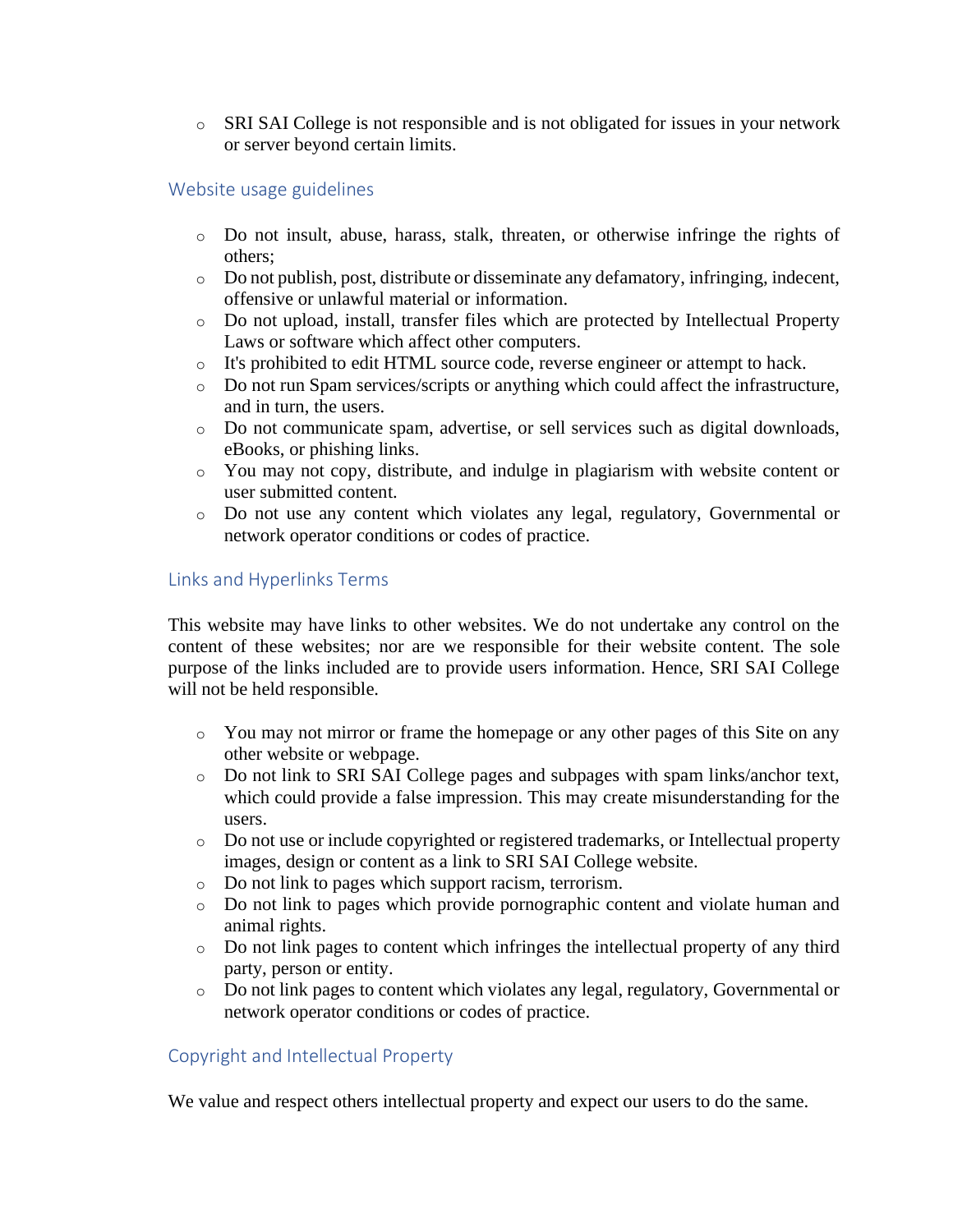o SRI SAI College is not responsible and is not obligated for issues in your network or server beyond certain limits.

# Website usage guidelines

- o Do not insult, abuse, harass, stalk, threaten, or otherwise infringe the rights of others;
- o Do not publish, post, distribute or disseminate any defamatory, infringing, indecent, offensive or unlawful material or information.
- o Do not upload, install, transfer files which are protected by Intellectual Property Laws or software which affect other computers.
- o It's prohibited to edit HTML source code, reverse engineer or attempt to hack.
- o Do not run Spam services/scripts or anything which could affect the infrastructure, and in turn, the users.
- o Do not communicate spam, advertise, or sell services such as digital downloads, eBooks, or phishing links.
- o You may not copy, distribute, and indulge in plagiarism with website content or user submitted content.
- o Do not use any content which violates any legal, regulatory, Governmental or network operator conditions or codes of practice.

## Links and Hyperlinks Terms

This website may have links to other websites. We do not undertake any control on the content of these websites; nor are we responsible for their website content. The sole purpose of the links included are to provide users information. Hence, SRI SAI College will not be held responsible.

- o You may not mirror or frame the homepage or any other pages of this Site on any other website or webpage.
- o Do not link to SRI SAI College pages and subpages with spam links/anchor text, which could provide a false impression. This may create misunderstanding for the users.
- o Do not use or include copyrighted or registered trademarks, or Intellectual property images, design or content as a link to SRI SAI College website.
- o Do not link to pages which support racism, terrorism.
- o Do not link to pages which provide pornographic content and violate human and animal rights.
- o Do not link pages to content which infringes the intellectual property of any third party, person or entity.
- o Do not link pages to content which violates any legal, regulatory, Governmental or network operator conditions or codes of practice.

# Copyright and Intellectual Property

We value and respect others intellectual property and expect our users to do the same.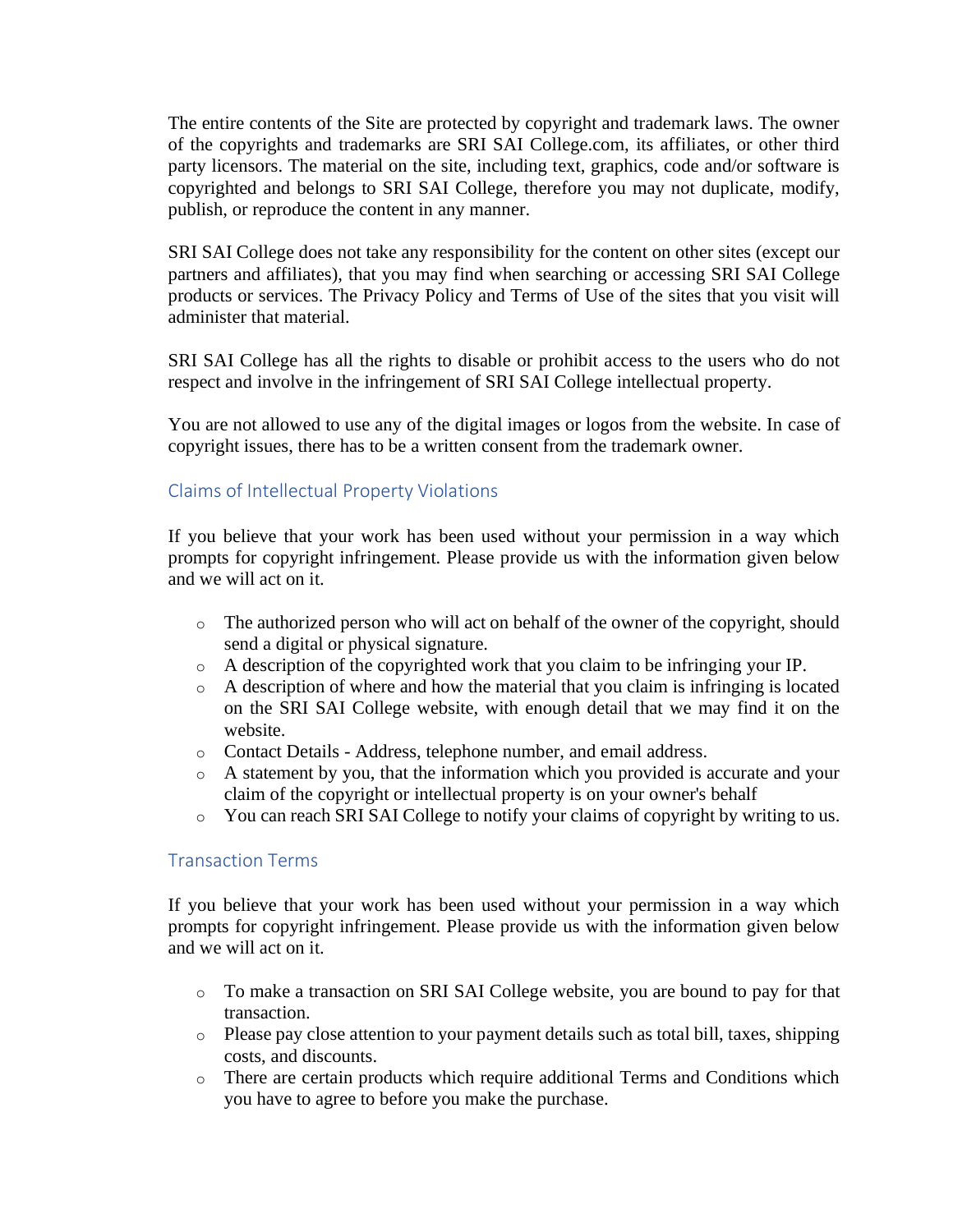The entire contents of the Site are protected by copyright and trademark laws. The owner of the copyrights and trademarks are SRI SAI College.com, its affiliates, or other third party licensors. The material on the site, including text, graphics, code and/or software is copyrighted and belongs to SRI SAI College, therefore you may not duplicate, modify, publish, or reproduce the content in any manner.

SRI SAI College does not take any responsibility for the content on other sites (except our partners and affiliates), that you may find when searching or accessing SRI SAI College products or services. The Privacy Policy and Terms of Use of the sites that you visit will administer that material.

SRI SAI College has all the rights to disable or prohibit access to the users who do not respect and involve in the infringement of SRI SAI College intellectual property.

You are not allowed to use any of the digital images or logos from the website. In case of copyright issues, there has to be a written consent from the trademark owner.

## Claims of Intellectual Property Violations

If you believe that your work has been used without your permission in a way which prompts for copyright infringement. Please provide us with the information given below and we will act on it.

- o The authorized person who will act on behalf of the owner of the copyright, should send a digital or physical signature.
- o A description of the copyrighted work that you claim to be infringing your IP.
- o A description of where and how the material that you claim is infringing is located on the SRI SAI College website, with enough detail that we may find it on the website.
- o Contact Details Address, telephone number, and email address.
- o A statement by you, that the information which you provided is accurate and your claim of the copyright or intellectual property is on your owner's behalf
- o You can reach SRI SAI College to notify your claims of copyright by writing to us.

# Transaction Terms

If you believe that your work has been used without your permission in a way which prompts for copyright infringement. Please provide us with the information given below and we will act on it.

- o To make a transaction on SRI SAI College website, you are bound to pay for that transaction.
- o Please pay close attention to your payment details such as total bill, taxes, shipping costs, and discounts.
- o There are certain products which require additional Terms and Conditions which you have to agree to before you make the purchase.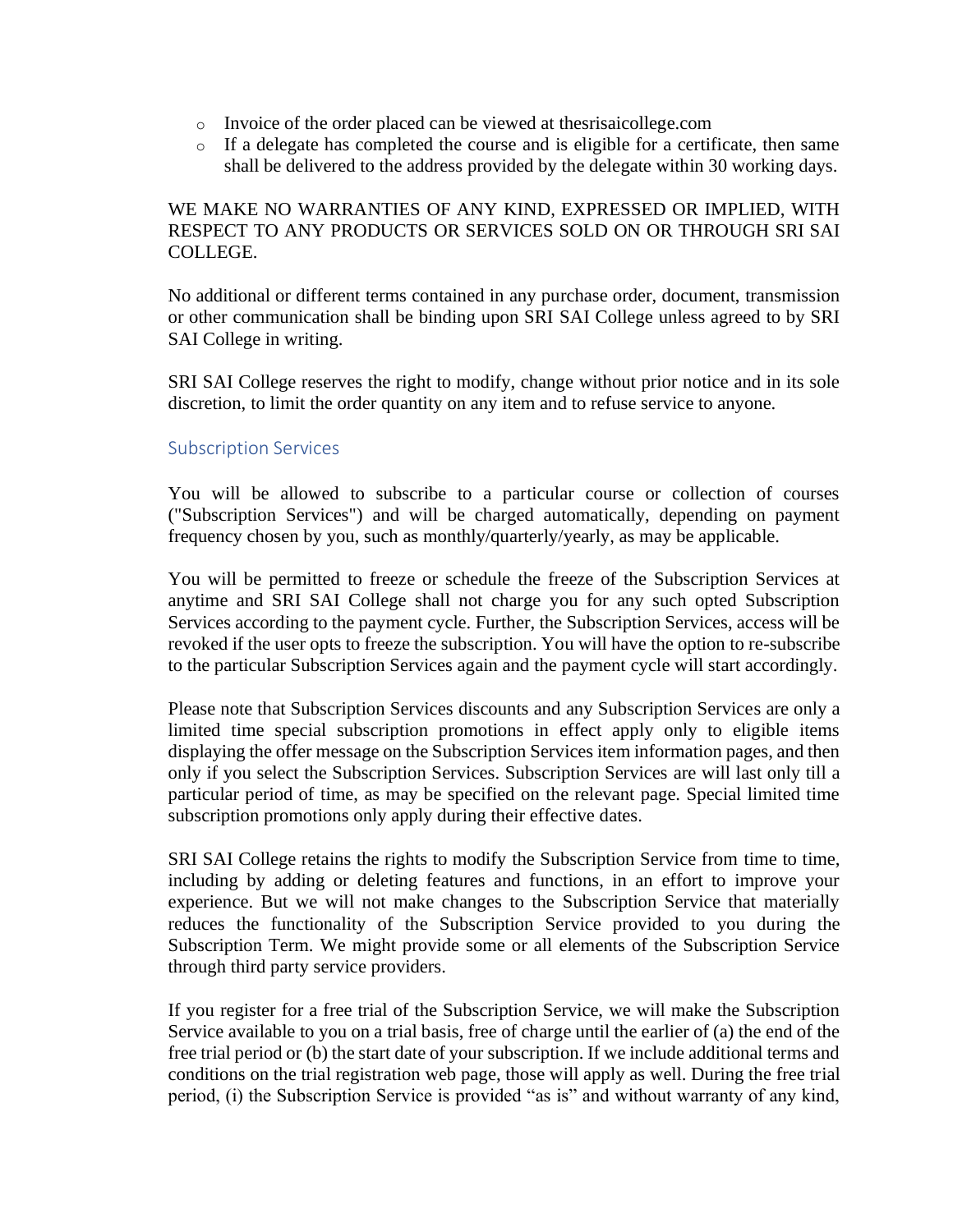- o Invoice of the order placed can be viewed at thesrisaicollege.com
- o If a delegate has completed the course and is eligible for a certificate, then same shall be delivered to the address provided by the delegate within 30 working days.

# WE MAKE NO WARRANTIES OF ANY KIND, EXPRESSED OR IMPLIED, WITH RESPECT TO ANY PRODUCTS OR SERVICES SOLD ON OR THROUGH SRI SAI COLLEGE.

No additional or different terms contained in any purchase order, document, transmission or other communication shall be binding upon SRI SAI College unless agreed to by SRI SAI College in writing.

SRI SAI College reserves the right to modify, change without prior notice and in its sole discretion, to limit the order quantity on any item and to refuse service to anyone.

## Subscription Services

You will be allowed to subscribe to a particular course or collection of courses ("Subscription Services") and will be charged automatically, depending on payment frequency chosen by you, such as monthly/quarterly/yearly, as may be applicable.

You will be permitted to freeze or schedule the freeze of the Subscription Services at anytime and SRI SAI College shall not charge you for any such opted Subscription Services according to the payment cycle. Further, the Subscription Services, access will be revoked if the user opts to freeze the subscription. You will have the option to re-subscribe to the particular Subscription Services again and the payment cycle will start accordingly.

Please note that Subscription Services discounts and any Subscription Services are only a limited time special subscription promotions in effect apply only to eligible items displaying the offer message on the Subscription Services item information pages, and then only if you select the Subscription Services. Subscription Services are will last only till a particular period of time, as may be specified on the relevant page. Special limited time subscription promotions only apply during their effective dates.

SRI SAI College retains the rights to modify the Subscription Service from time to time, including by adding or deleting features and functions, in an effort to improve your experience. But we will not make changes to the Subscription Service that materially reduces the functionality of the Subscription Service provided to you during the Subscription Term. We might provide some or all elements of the Subscription Service through third party service providers.

If you register for a free trial of the Subscription Service, we will make the Subscription Service available to you on a trial basis, free of charge until the earlier of (a) the end of the free trial period or (b) the start date of your subscription. If we include additional terms and conditions on the trial registration web page, those will apply as well. During the free trial period, (i) the Subscription Service is provided "as is" and without warranty of any kind,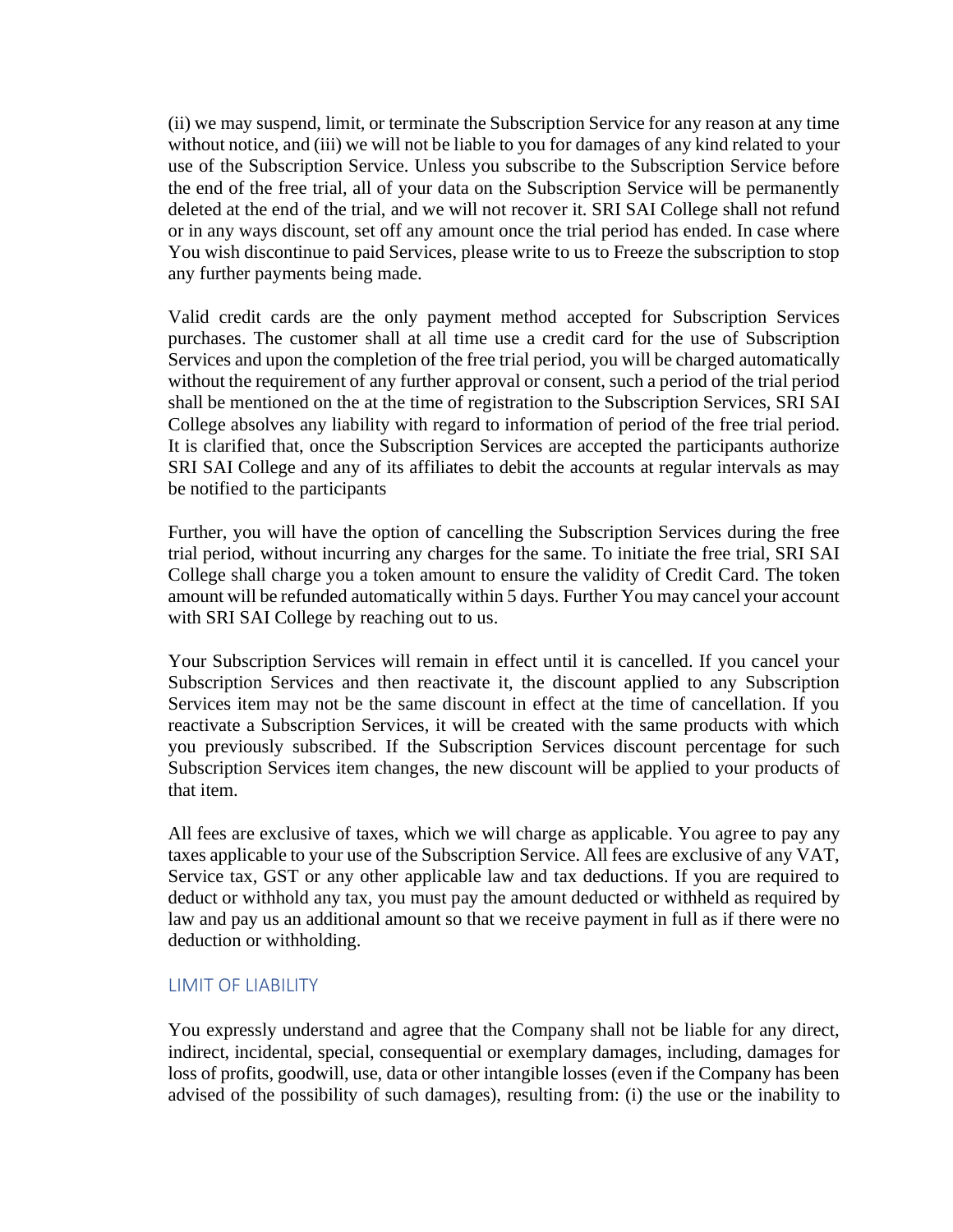(ii) we may suspend, limit, or terminate the Subscription Service for any reason at any time without notice, and (iii) we will not be liable to you for damages of any kind related to your use of the Subscription Service. Unless you subscribe to the Subscription Service before the end of the free trial, all of your data on the Subscription Service will be permanently deleted at the end of the trial, and we will not recover it. SRI SAI College shall not refund or in any ways discount, set off any amount once the trial period has ended. In case where You wish discontinue to paid Services, please write to us to Freeze the subscription to stop any further payments being made.

Valid credit cards are the only payment method accepted for Subscription Services purchases. The customer shall at all time use a credit card for the use of Subscription Services and upon the completion of the free trial period, you will be charged automatically without the requirement of any further approval or consent, such a period of the trial period shall be mentioned on the at the time of registration to the Subscription Services, SRI SAI College absolves any liability with regard to information of period of the free trial period. It is clarified that, once the Subscription Services are accepted the participants authorize SRI SAI College and any of its affiliates to debit the accounts at regular intervals as may be notified to the participants

Further, you will have the option of cancelling the Subscription Services during the free trial period, without incurring any charges for the same. To initiate the free trial, SRI SAI College shall charge you a token amount to ensure the validity of Credit Card. The token amount will be refunded automatically within 5 days. Further You may cancel your account with SRI SAI College by reaching out to us.

Your Subscription Services will remain in effect until it is cancelled. If you cancel your Subscription Services and then reactivate it, the discount applied to any Subscription Services item may not be the same discount in effect at the time of cancellation. If you reactivate a Subscription Services, it will be created with the same products with which you previously subscribed. If the Subscription Services discount percentage for such Subscription Services item changes, the new discount will be applied to your products of that item.

All fees are exclusive of taxes, which we will charge as applicable. You agree to pay any taxes applicable to your use of the Subscription Service. All fees are exclusive of any VAT, Service tax, GST or any other applicable law and tax deductions. If you are required to deduct or withhold any tax, you must pay the amount deducted or withheld as required by law and pay us an additional amount so that we receive payment in full as if there were no deduction or withholding.

### LIMIT OF LIABILITY

You expressly understand and agree that the Company shall not be liable for any direct, indirect, incidental, special, consequential or exemplary damages, including, damages for loss of profits, goodwill, use, data or other intangible losses (even if the Company has been advised of the possibility of such damages), resulting from: (i) the use or the inability to